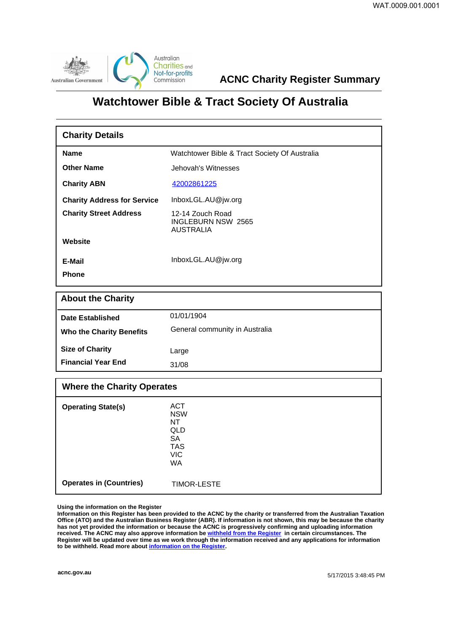

**ACNC Charity Register Summary**

## **Watchtower Bible & Tract Society Of Australia**

| <b>Charity Details</b>             |                                                            |  |
|------------------------------------|------------------------------------------------------------|--|
| <b>Name</b>                        | Watchtower Bible & Tract Society Of Australia              |  |
| <b>Other Name</b>                  | Jehovah's Witnesses                                        |  |
| <b>Charity ABN</b>                 | 42002861225                                                |  |
| <b>Charity Address for Service</b> | InboxLGL.AU@jw.org                                         |  |
| <b>Charity Street Address</b>      | 12-14 Zouch Road<br>INGLEBURN NSW 2565<br><b>AUSTRALIA</b> |  |
| Website                            |                                                            |  |
| E-Mail                             | InboxLGL.AU@jw.org                                         |  |
| <b>Phone</b>                       |                                                            |  |
|                                    |                                                            |  |

| <b>About the Charity</b>        |                                |  |
|---------------------------------|--------------------------------|--|
| Date Established                | 01/01/1904                     |  |
| <b>Who the Charity Benefits</b> | General community in Australia |  |
| <b>Size of Charity</b>          | Large                          |  |
| <b>Financial Year End</b>       | 31/08                          |  |

| <b>Where the Charity Operates</b> |                                                                                      |  |
|-----------------------------------|--------------------------------------------------------------------------------------|--|
| <b>Operating State(s)</b>         | <b>ACT</b><br><b>NSW</b><br>NT<br>QLD<br><b>SA</b><br><b>TAS</b><br><b>VIC</b><br>WA |  |
| <b>Operates in (Countries)</b>    | <b>TIMOR-LESTE</b>                                                                   |  |

**Using the information on the Register**

**Information on this Register has been provided to the ACNC by the charity or transferred from the Australian Taxation Office (ATO) and the Australian Business Register (ABR). If information is not shown, this may be because the charity has not yet provided the information or because the ACNC is progressively confirming and uploading information received. The ACNC may also approve information be [withheld from the Register](http://www.acnc.gov.au/ACNC/FindCharity/About_Register/Withheld_info/ACNC/Reg/With_info.aspx) in certain circumstances. The Register will be updated over time as we work through the information received and any applications for information to be withheld. Read more about [information on the Register.](http://www.acnc.gov.au/ACNC/FindCharity/About_Register/ACNC/Reg/Info_Reg.aspx?hkey=9497ea1e-1885-4f6f-bb73-1676e875ddbc)**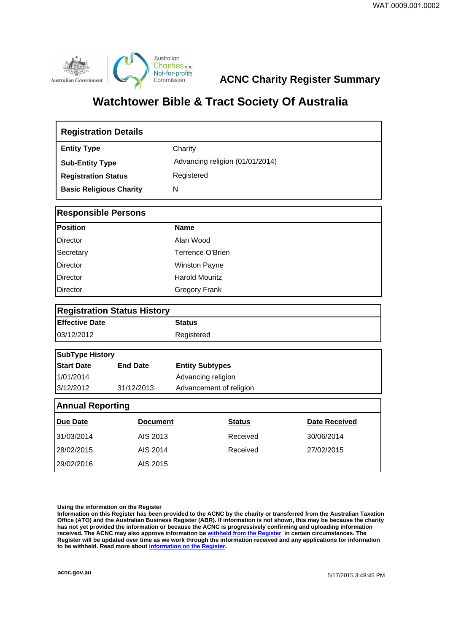

**ACNC Charity Register Summary**

## **Watchtower Bible & Tract Society Of Australia**

| <b>Registration Details</b>        |                 |                                 |               |                      |  |  |  |
|------------------------------------|-----------------|---------------------------------|---------------|----------------------|--|--|--|
| <b>Entity Type</b>                 |                 | Charity                         |               |                      |  |  |  |
| <b>Sub-Entity Type</b>             |                 | Advancing religion (01/01/2014) |               |                      |  |  |  |
| <b>Registration Status</b>         |                 | Registered                      |               |                      |  |  |  |
| <b>Basic Religious Charity</b>     |                 | N                               |               |                      |  |  |  |
| <b>Responsible Persons</b>         |                 |                                 |               |                      |  |  |  |
| <b>Position</b>                    |                 | <b>Name</b>                     |               |                      |  |  |  |
| Director                           |                 | Alan Wood                       |               |                      |  |  |  |
| Secretary                          |                 | Terrence O'Brien                |               |                      |  |  |  |
| <b>Director</b>                    |                 | <b>Winston Payne</b>            |               |                      |  |  |  |
| <b>Director</b>                    |                 | <b>Harold Mouritz</b>           |               |                      |  |  |  |
| Director                           |                 | <b>Gregory Frank</b>            |               |                      |  |  |  |
| <b>Registration Status History</b> |                 |                                 |               |                      |  |  |  |
| <b>Effective Date</b>              |                 | <b>Status</b>                   |               |                      |  |  |  |
| 03/12/2012                         |                 | Registered                      |               |                      |  |  |  |
| <b>SubType History</b>             |                 |                                 |               |                      |  |  |  |
| <b>Start Date</b>                  | <b>End Date</b> | <b>Entity Subtypes</b>          |               |                      |  |  |  |
| 1/01/2014                          |                 | Advancing religion              |               |                      |  |  |  |
| 3/12/2012                          | 31/12/2013      | Advancement of religion         |               |                      |  |  |  |
| <b>Annual Reporting</b>            |                 |                                 |               |                      |  |  |  |
| Due Date                           | <b>Document</b> |                                 | <b>Status</b> | <b>Date Received</b> |  |  |  |
| 31/03/2014                         | AIS 2013        |                                 | Received      | 30/06/2014           |  |  |  |
| 28/02/2015                         | AIS 2014        |                                 | Received      | 27/02/2015           |  |  |  |
| 29/02/2016                         | AIS 2015        |                                 |               |                      |  |  |  |

**Using the information on the Register**

**Information on this Register has been provided to the ACNC by the charity or transferred from the Australian Taxation Office (ATO) and the Australian Business Register (ABR). If information is not shown, this may be because the charity has not yet provided the information or because the ACNC is progressively confirming and uploading information received. The ACNC may also approve information be [withheld from the Register](http://www.acnc.gov.au/ACNC/FindCharity/About_Register/Withheld_info/ACNC/Reg/With_info.aspx) in certain circumstances. The Register will be updated over time as we work through the information received and any applications for information to be withheld. Read more about [information on the Register.](http://www.acnc.gov.au/ACNC/FindCharity/About_Register/ACNC/Reg/Info_Reg.aspx?hkey=9497ea1e-1885-4f6f-bb73-1676e875ddbc)**